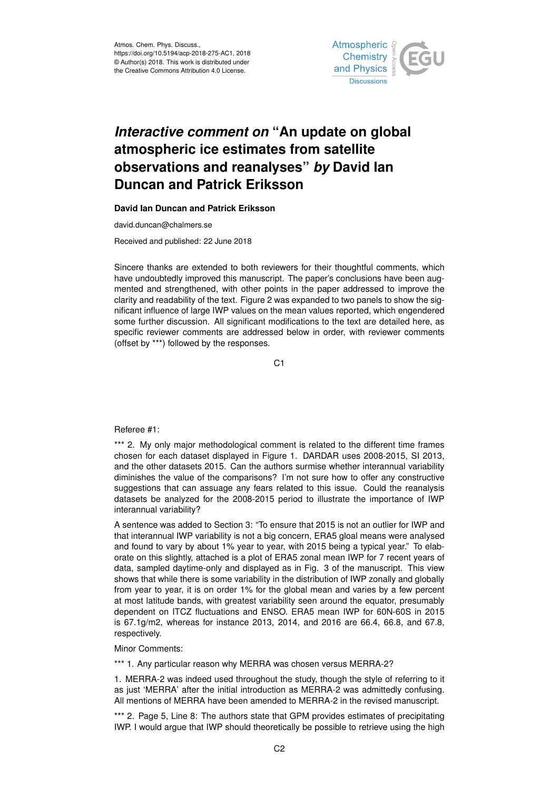Atmos. Chem. Phys. Discuss., https://doi.org/10.5194/acp-2018-275-AC1, 2018 © Author(s) 2018. This work is distributed under the Creative Commons Attribution 4.0 License.



# *Interactive comment on* **"An update on global atmospheric ice estimates from satellite observations and reanalyses"** *by* **David Ian Duncan and Patrick Eriksson**

### **David Ian Duncan and Patrick Eriksson**

david.duncan@chalmers.se

Received and published: 22 June 2018

Sincere thanks are extended to both reviewers for their thoughtful comments, which have undoubtedly improved this manuscript. The paper's conclusions have been augmented and strengthened, with other points in the paper addressed to improve the clarity and readability of the text. Figure 2 was expanded to two panels to show the significant influence of large IWP values on the mean values reported, which engendered some further discussion. All significant modifications to the text are detailed here, as specific reviewer comments are addressed below in order, with reviewer comments (offset by \*\*\*) followed by the responses.

C<sub>1</sub>

Referee #1:

\*\*\* 2. My only major methodological comment is related to the different time frames chosen for each dataset displayed in Figure 1. DARDAR uses 2008-2015, SI 2013, and the other datasets 2015. Can the authors surmise whether interannual variability diminishes the value of the comparisons? I'm not sure how to offer any constructive suggestions that can assuage any fears related to this issue. Could the reanalysis datasets be analyzed for the 2008-2015 period to illustrate the importance of IWP interannual variability?

A sentence was added to Section 3: "To ensure that 2015 is not an outlier for IWP and that interannual IWP variability is not a big concern, ERA5 gloal means were analysed and found to vary by about 1% year to year, with 2015 being a typical year." To elaborate on this slightly, attached is a plot of ERA5 zonal mean IWP for 7 recent years of data, sampled daytime-only and displayed as in Fig. 3 of the manuscript. This view shows that while there is some variability in the distribution of IWP zonally and globally from year to year, it is on order 1% for the global mean and varies by a few percent at most latitude bands, with greatest variability seen around the equator, presumably dependent on ITCZ fluctuations and ENSO. ERA5 mean IWP for 60N-60S in 2015 is 67.1g/m2, whereas for instance 2013, 2014, and 2016 are 66.4, 66.8, and 67.8, respectively.

#### Minor Comments:

\*\*\* 1. Any particular reason why MERRA was chosen versus MERRA-2?

1. MERRA-2 was indeed used throughout the study, though the style of referring to it as just 'MERRA' after the initial introduction as MERRA-2 was admittedly confusing. All mentions of MERRA have been amended to MERRA-2 in the revised manuscript.

\*\*\* 2. Page 5, Line 8: The authors state that GPM provides estimates of precipitating IWP. I would argue that IWP should theoretically be possible to retrieve using the high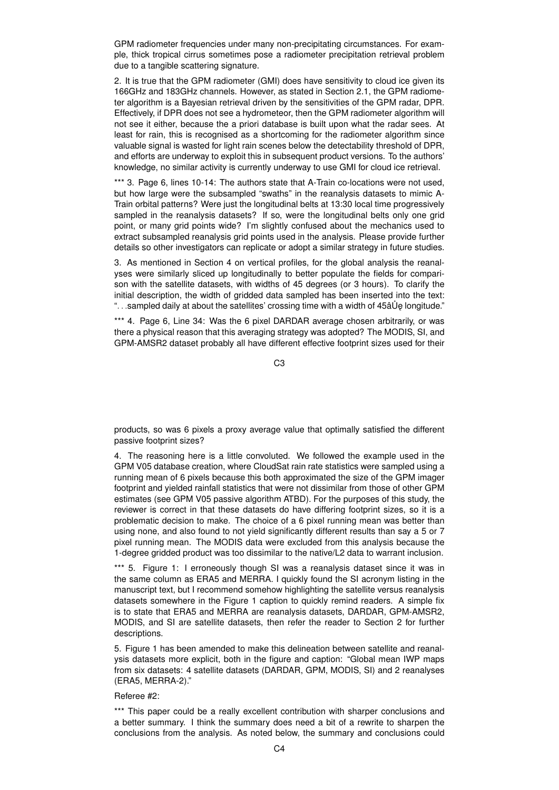GPM radiometer frequencies under many non-precipitating circumstances. For example, thick tropical cirrus sometimes pose a radiometer precipitation retrieval problem due to a tangible scattering signature.

2. It is true that the GPM radiometer (GMI) does have sensitivity to cloud ice given its 166GHz and 183GHz channels. However, as stated in Section 2.1, the GPM radiometer algorithm is a Bayesian retrieval driven by the sensitivities of the GPM radar, DPR. Effectively, if DPR does not see a hydrometeor, then the GPM radiometer algorithm will not see it either, because the a priori database is built upon what the radar sees. At least for rain, this is recognised as a shortcoming for the radiometer algorithm since valuable signal is wasted for light rain scenes below the detectability threshold of DPR, and efforts are underway to exploit this in subsequent product versions. To the authors' knowledge, no similar activity is currently underway to use GMI for cloud ice retrieval.

\*\*\* 3. Page 6, lines 10-14: The authors state that A-Train co-locations were not used, but how large were the subsampled "swaths" in the reanalysis datasets to mimic A-Train orbital patterns? Were just the longitudinal belts at 13:30 local time progressively sampled in the reanalysis datasets? If so, were the longitudinal belts only one grid point, or many grid points wide? I'm slightly confused about the mechanics used to extract subsampled reanalysis grid points used in the analysis. Please provide further details so other investigators can replicate or adopt a similar strategy in future studies.

3. As mentioned in Section 4 on vertical profiles, for the global analysis the reanalyses were similarly sliced up longitudinally to better populate the fields for comparison with the satellite datasets, with widths of 45 degrees (or 3 hours). To clarify the initial description, the width of gridded data sampled has been inserted into the text: "...sampled daily at about the satellites' crossing time with a width of 45â Ue longitude."

\*\*\* 4. Page 6, Line 34: Was the 6 pixel DARDAR average chosen arbitrarily, or was there a physical reason that this averaging strategy was adopted? The MODIS, SI, and GPM-AMSR2 dataset probably all have different effective footprint sizes used for their

C3

products, so was 6 pixels a proxy average value that optimally satisfied the different passive footprint sizes?

4. The reasoning here is a little convoluted. We followed the example used in the GPM V05 database creation, where CloudSat rain rate statistics were sampled using a running mean of 6 pixels because this both approximated the size of the GPM imager footprint and yielded rainfall statistics that were not dissimilar from those of other GPM estimates (see GPM V05 passive algorithm ATBD). For the purposes of this study, the reviewer is correct in that these datasets do have differing footprint sizes, so it is a problematic decision to make. The choice of a 6 pixel running mean was better than using none, and also found to not yield significantly different results than say a 5 or 7 pixel running mean. The MODIS data were excluded from this analysis because the 1-degree gridded product was too dissimilar to the native/L2 data to warrant inclusion.

\*\*\* 5. Figure 1: I erroneously though SI was a reanalysis dataset since it was in the same column as ERA5 and MERRA. I quickly found the SI acronym listing in the manuscript text, but I recommend somehow highlighting the satellite versus reanalysis datasets somewhere in the Figure 1 caption to quickly remind readers. A simple fix is to state that ERA5 and MERRA are reanalysis datasets, DARDAR, GPM-AMSR2, MODIS, and SI are satellite datasets, then refer the reader to Section 2 for further descriptions.

5. Figure 1 has been amended to make this delineation between satellite and reanalysis datasets more explicit, both in the figure and caption: "Global mean IWP maps from six datasets: 4 satellite datasets (DARDAR, GPM, MODIS, SI) and 2 reanalyses (ERA5, MERRA-2)."

## Referee #2:

\*\*\* This paper could be a really excellent contribution with sharper conclusions and a better summary. I think the summary does need a bit of a rewrite to sharpen the conclusions from the analysis. As noted below, the summary and conclusions could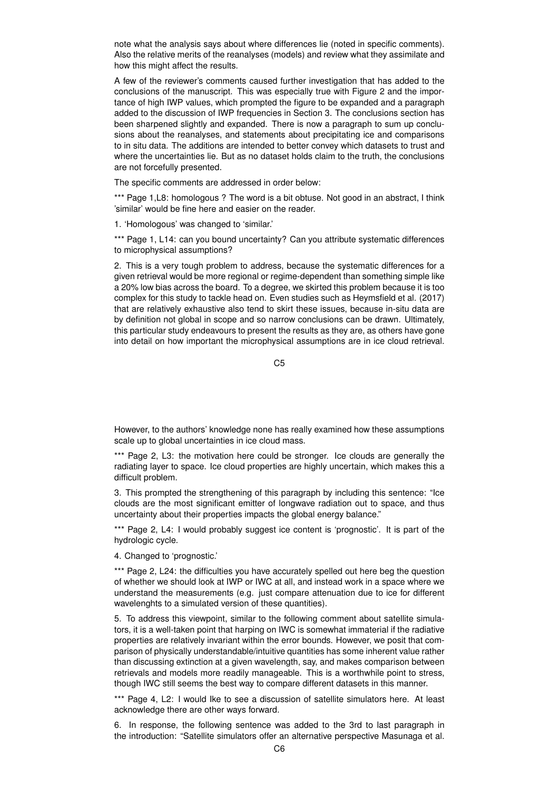note what the analysis says about where differences lie (noted in specific comments). Also the relative merits of the reanalyses (models) and review what they assimilate and how this might affect the results.

A few of the reviewer's comments caused further investigation that has added to the conclusions of the manuscript. This was especially true with Figure 2 and the importance of high IWP values, which prompted the figure to be expanded and a paragraph added to the discussion of IWP frequencies in Section 3. The conclusions section has been sharpened slightly and expanded. There is now a paragraph to sum up conclusions about the reanalyses, and statements about precipitating ice and comparisons to in situ data. The additions are intended to better convey which datasets to trust and where the uncertainties lie. But as no dataset holds claim to the truth, the conclusions are not forcefully presented.

The specific comments are addressed in order below:

\*\*\* Page 1, L8: homologous ? The word is a bit obtuse. Not good in an abstract, I think 'similar' would be fine here and easier on the reader.

1. 'Homologous' was changed to 'similar.'

\*\*\* Page 1, L14: can you bound uncertainty? Can you attribute systematic differences to microphysical assumptions?

2. This is a very tough problem to address, because the systematic differences for a given retrieval would be more regional or regime-dependent than something simple like a 20% low bias across the board. To a degree, we skirted this problem because it is too complex for this study to tackle head on. Even studies such as Heymsfield et al. (2017) that are relatively exhaustive also tend to skirt these issues, because in-situ data are by definition not global in scope and so narrow conclusions can be drawn. Ultimately, this particular study endeavours to present the results as they are, as others have gone into detail on how important the microphysical assumptions are in ice cloud retrieval.

C5

However, to the authors' knowledge none has really examined how these assumptions scale up to global uncertainties in ice cloud mass.

\*\*\* Page 2, L3: the motivation here could be stronger. Ice clouds are generally the radiating layer to space. Ice cloud properties are highly uncertain, which makes this a difficult problem.

3. This prompted the strengthening of this paragraph by including this sentence: "Ice clouds are the most significant emitter of longwave radiation out to space, and thus uncertainty about their properties impacts the global energy balance."

\*\*\* Page 2, L4: I would probably suggest ice content is 'prognostic'. It is part of the hydrologic cycle.

4. Changed to 'prognostic.'

\*\*\* Page 2, L24: the difficulties you have accurately spelled out here beg the question of whether we should look at IWP or IWC at all, and instead work in a space where we understand the measurements (e.g. just compare attenuation due to ice for different wavelenghts to a simulated version of these quantities).

5. To address this viewpoint, similar to the following comment about satellite simulators, it is a well-taken point that harping on IWC is somewhat immaterial if the radiative properties are relatively invariant within the error bounds. However, we posit that comparison of physically understandable/intuitive quantities has some inherent value rather than discussing extinction at a given wavelength, say, and makes comparison between retrievals and models more readily manageable. This is a worthwhile point to stress, though IWC still seems the best way to compare different datasets in this manner.

\*\*\* Page 4, L2: I would Ike to see a discussion of satellite simulators here. At least acknowledge there are other ways forward.

6. In response, the following sentence was added to the 3rd to last paragraph in the introduction: "Satellite simulators offer an alternative perspective Masunaga et al.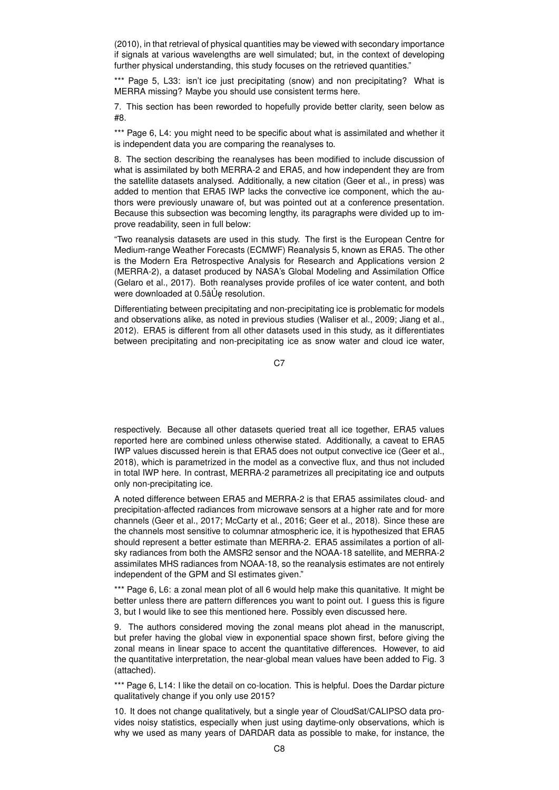(2010), in that retrieval of physical quantities may be viewed with secondary importance if signals at various wavelengths are well simulated; but, in the context of developing further physical understanding, this study focuses on the retrieved quantities."

\*\*\* Page 5, L33: isn't ice just precipitating (snow) and non precipitating? What is MERRA missing? Maybe you should use consistent terms here.

7. This section has been reworded to hopefully provide better clarity, seen below as #8.

\*\*\* Page 6, L4: you might need to be specific about what is assimilated and whether it is independent data you are comparing the reanalyses to.

8. The section describing the reanalyses has been modified to include discussion of what is assimilated by both MERRA-2 and ERA5, and how independent they are from the satellite datasets analysed. Additionally, a new citation (Geer et al., in press) was added to mention that ERA5 IWP lacks the convective ice component, which the authors were previously unaware of, but was pointed out at a conference presentation. Because this subsection was becoming lengthy, its paragraphs were divided up to improve readability, seen in full below:

"Two reanalysis datasets are used in this study. The first is the European Centre for Medium-range Weather Forecasts (ECMWF) Reanalysis 5, known as ERA5. The other is the Modern Era Retrospective Analysis for Research and Applications version 2 (MERRA-2), a dataset produced by NASA's Global Modeling and Assimilation Office (Gelaro et al., 2017). Both reanalyses provide profiles of ice water content, and both were downloaded at 0.5âUe resolution.

Differentiating between precipitating and non-precipitating ice is problematic for models and observations alike, as noted in previous studies (Waliser et al., 2009; Jiang et al., 2012). ERA5 is different from all other datasets used in this study, as it differentiates between precipitating and non-precipitating ice as snow water and cloud ice water,

C<sub>7</sub>

respectively. Because all other datasets queried treat all ice together, ERA5 values reported here are combined unless otherwise stated. Additionally, a caveat to ERA5 IWP values discussed herein is that ERA5 does not output convective ice (Geer et al., 2018), which is parametrized in the model as a convective flux, and thus not included in total IWP here. In contrast, MERRA-2 parametrizes all precipitating ice and outputs only non-precipitating ice.

A noted difference between ERA5 and MERRA-2 is that ERA5 assimilates cloud- and precipitation-affected radiances from microwave sensors at a higher rate and for more channels (Geer et al., 2017; McCarty et al., 2016; Geer et al., 2018). Since these are the channels most sensitive to columnar atmospheric ice, it is hypothesized that ERA5 should represent a better estimate than MERRA-2. ERA5 assimilates a portion of allsky radiances from both the AMSR2 sensor and the NOAA-18 satellite, and MERRA-2 assimilates MHS radiances from NOAA-18, so the reanalysis estimates are not entirely independent of the GPM and SI estimates given."

\*\*\* Page 6, L6: a zonal mean plot of all 6 would help make this quanitative. It might be better unless there are pattern differences you want to point out. I guess this is figure 3, but I would like to see this mentioned here. Possibly even discussed here.

9. The authors considered moving the zonal means plot ahead in the manuscript, but prefer having the global view in exponential space shown first, before giving the zonal means in linear space to accent the quantitative differences. However, to aid the quantitative interpretation, the near-global mean values have been added to Fig. 3 (attached).

\*\*\* Page 6, L14: I like the detail on co-location. This is helpful. Does the Dardar picture qualitatively change if you only use 2015?

10. It does not change qualitatively, but a single year of CloudSat/CALIPSO data provides noisy statistics, especially when just using daytime-only observations, which is why we used as many years of DARDAR data as possible to make, for instance, the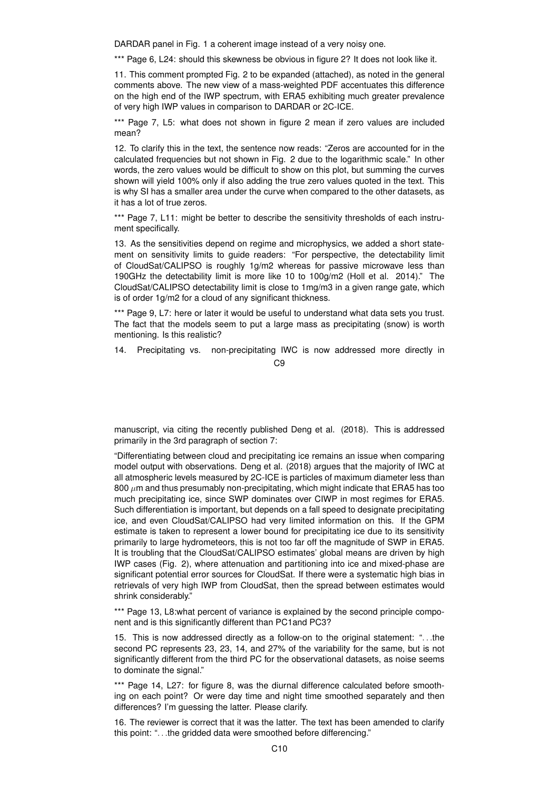DARDAR panel in Fig. 1 a coherent image instead of a very noisy one.

\*\*\* Page 6, L24: should this skewness be obvious in figure 2? It does not look like it.

11. This comment prompted Fig. 2 to be expanded (attached), as noted in the general comments above. The new view of a mass-weighted PDF accentuates this difference on the high end of the IWP spectrum, with ERA5 exhibiting much greater prevalence of very high IWP values in comparison to DARDAR or 2C-ICE.

\*\*\* Page 7, L5: what does not shown in figure 2 mean if zero values are included mean?

12. To clarify this in the text, the sentence now reads: "Zeros are accounted for in the calculated frequencies but not shown in Fig. 2 due to the logarithmic scale." In other words, the zero values would be difficult to show on this plot, but summing the curves shown will yield 100% only if also adding the true zero values quoted in the text. This is why SI has a smaller area under the curve when compared to the other datasets, as it has a lot of true zeros.

\*\*\* Page 7, L11: might be better to describe the sensitivity thresholds of each instrument specifically.

13. As the sensitivities depend on regime and microphysics, we added a short statement on sensitivity limits to guide readers: "For perspective, the detectability limit of CloudSat/CALIPSO is roughly 1g/m2 whereas for passive microwave less than 190GHz the detectability limit is more like 10 to 100g/m2 (Holl et al. 2014)." The CloudSat/CALIPSO detectability limit is close to 1mg/m3 in a given range gate, which is of order 1g/m2 for a cloud of any significant thickness.

\*\*\* Page 9, L7: here or later it would be useful to understand what data sets you trust. The fact that the models seem to put a large mass as precipitating (snow) is worth mentioning. Is this realistic?

14. Precipitating vs. non-precipitating IWC is now addressed more directly in  $C<sub>9</sub>$ 

manuscript, via citing the recently published Deng et al. (2018). This is addressed primarily in the 3rd paragraph of section 7:

"Differentiating between cloud and precipitating ice remains an issue when comparing model output with observations. Deng et al. (2018) argues that the majority of IWC at all atmospheric levels measured by 2C-ICE is particles of maximum diameter less than  $800 \ \mu m$  and thus presumably non-precipitating, which might indicate that ERA5 has too much precipitating ice, since SWP dominates over CIWP in most regimes for ERA5. Such differentiation is important, but depends on a fall speed to designate precipitating ice, and even CloudSat/CALIPSO had very limited information on this. If the GPM estimate is taken to represent a lower bound for precipitating ice due to its sensitivity primarily to large hydrometeors, this is not too far off the magnitude of SWP in ERA5. It is troubling that the CloudSat/CALIPSO estimates' global means are driven by high IWP cases (Fig. 2), where attenuation and partitioning into ice and mixed-phase are significant potential error sources for CloudSat. If there were a systematic high bias in retrievals of very high IWP from CloudSat, then the spread between estimates would shrink considerably."

\*\*\* Page 13, L8:what percent of variance is explained by the second principle component and is this significantly different than PC1and PC3?

15. This is now addressed directly as a follow-on to the original statement: ". . .the second PC represents 23, 23, 14, and 27% of the variability for the same, but is not significantly different from the third PC for the observational datasets, as noise seems to dominate the signal."

\*\*\* Page 14, L27: for figure 8, was the diurnal difference calculated before smoothing on each point? Or were day time and night time smoothed separately and then differences? I'm guessing the latter. Please clarify.

16. The reviewer is correct that it was the latter. The text has been amended to clarify this point: ". . .the gridded data were smoothed before differencing."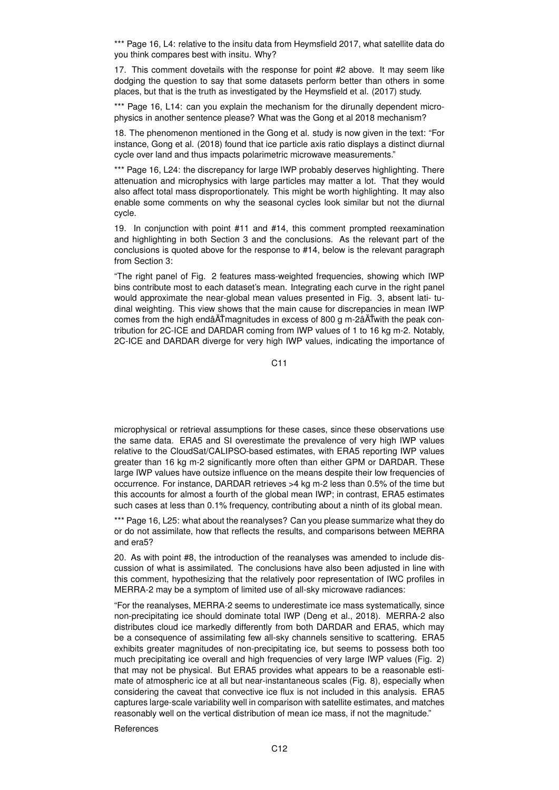\*\*\* Page 16, L4: relative to the insitu data from Heymsfield 2017, what satellite data do you think compares best with insitu. Why?

17. This comment dovetails with the response for point #2 above. It may seem like dodging the question to say that some datasets perform better than others in some places, but that is the truth as investigated by the Heymsfield et al. (2017) study.

\*\*\* Page 16, L14: can you explain the mechanism for the dirunally dependent microphysics in another sentence please? What was the Gong et al 2018 mechanism?

18. The phenomenon mentioned in the Gong et al. study is now given in the text: "For instance, Gong et al. (2018) found that ice particle axis ratio displays a distinct diurnal cycle over land and thus impacts polarimetric microwave measurements."

\*\*\* Page 16, L24: the discrepancy for large IWP probably deserves highlighting. There attenuation and microphysics with large particles may matter a lot. That they would also affect total mass disproportionately. This might be worth highlighting. It may also enable some comments on why the seasonal cycles look similar but not the diurnal cycle.

19. In conjunction with point #11 and #14, this comment prompted reexamination and highlighting in both Section 3 and the conclusions. As the relevant part of the conclusions is quoted above for the response to #14, below is the relevant paragraph from Section 3:

"The right panel of Fig. 2 features mass-weighted frequencies, showing which IWP bins contribute most to each dataset's mean. Integrating each curve in the right panel would approximate the near-global mean values presented in Fig. 3, absent lati- tudinal weighting. This view shows that the main cause for discrepancies in mean IWP comes from the high endâ $\tilde{A}$ Tmagnitudes in excess of 800 g m-2â $\tilde{A}$ Twith the peak contribution for 2C-ICE and DARDAR coming from IWP values of 1 to 16 kg m-2. Notably, 2C-ICE and DARDAR diverge for very high IWP values, indicating the importance of

C11

microphysical or retrieval assumptions for these cases, since these observations use the same data. ERA5 and SI overestimate the prevalence of very high IWP values relative to the CloudSat/CALIPSO-based estimates, with ERA5 reporting IWP values greater than 16 kg m-2 significantly more often than either GPM or DARDAR. These large IWP values have outsize influence on the means despite their low frequencies of occurrence. For instance, DARDAR retrieves >4 kg m-2 less than 0.5% of the time but this accounts for almost a fourth of the global mean IWP; in contrast, ERA5 estimates such cases at less than 0.1% frequency, contributing about a ninth of its global mean.

\*\*\* Page 16, L25; what about the reanalyses? Can you please summarize what they do or do not assimilate, how that reflects the results, and comparisons between MERRA and era5?

20. As with point #8, the introduction of the reanalyses was amended to include discussion of what is assimilated. The conclusions have also been adjusted in line with this comment, hypothesizing that the relatively poor representation of IWC profiles in MERRA-2 may be a symptom of limited use of all-sky microwave radiances:

"For the reanalyses, MERRA-2 seems to underestimate ice mass systematically, since non-precipitating ice should dominate total IWP (Deng et al., 2018). MERRA-2 also distributes cloud ice markedly differently from both DARDAR and ERA5, which may be a consequence of assimilating few all-sky channels sensitive to scattering. ERA5 exhibits greater magnitudes of non-precipitating ice, but seems to possess both too much precipitating ice overall and high frequencies of very large IWP values (Fig. 2) that may not be physical. But ERA5 provides what appears to be a reasonable estimate of atmospheric ice at all but near-instantaneous scales (Fig. 8), especially when considering the caveat that convective ice flux is not included in this analysis. ERA5 captures large-scale variability well in comparison with satellite estimates, and matches reasonably well on the vertical distribution of mean ice mass, if not the magnitude."

## **References**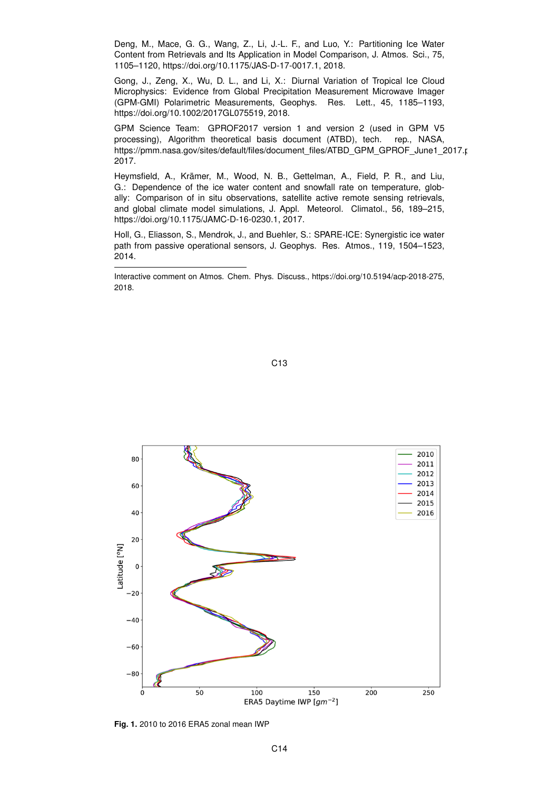Deng, M., Mace, G. G., Wang, Z., Li, J.-L. F., and Luo, Y.: Partitioning Ice Water Content from Retrievals and Its Application in Model Comparison, J. Atmos. Sci., 75, 1105–1120, https://doi.org/10.1175/JAS-D-17-0017.1, 2018.

Gong, J., Zeng, X., Wu, D. L., and Li, X.: Diurnal Variation of Tropical Ice Cloud Microphysics: Evidence from Global Precipitation Measurement Microwave Imager (GPM-GMI) Polarimetric Measurements, Geophys. Res. Lett., 45, 1185–1193, https://doi.org/10.1002/2017GL075519, 2018.

GPM Science Team: GPROF2017 version 1 and version 2 (used in GPM V5 processing), Algorithm theoretical basis document (ATBD), tech. rep., NASA, https://pmm.nasa.gov/sites/default/files/document\_files/ATBD\_GPM\_GPROF\_June1\_2017.pdf 2017.

Heymsfield, A., Krämer, M., Wood, N. B., Gettelman, A., Field, P. R., and Liu, G.: Dependence of the ice water content and snowfall rate on temperature, globally: Comparison of in situ observations, satellite active remote sensing retrievals, and global climate model simulations, J. Appl. Meteorol. Climatol., 56, 189–215, https://doi.org/10.1175/JAMC-D-16-0230.1, 2017.

Holl, G., Eliasson, S., Mendrok, J., and Buehler, S.: SPARE-ICE: Synergistic ice water path from passive operational sensors, J. Geophys. Res. Atmos., 119, 1504–1523, 2014.

Interactive comment on Atmos. Chem. Phys. Discuss., https://doi.org/10.5194/acp-2018-275, 2018.





**Fig. 1.** 2010 to 2016 ERA5 zonal mean IWP